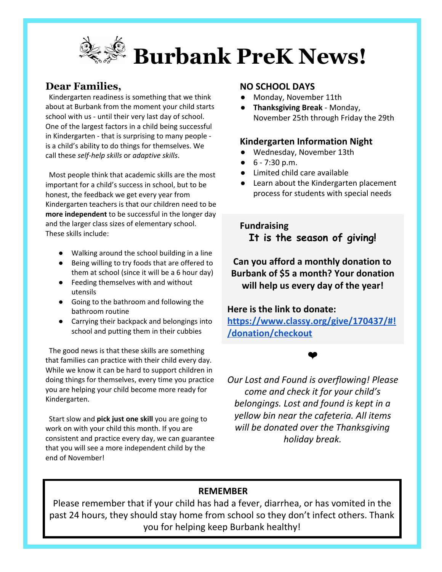

# **Dear Families,**

Kindergarten readiness is something that we think about at Burbank from the moment your child starts school with us - until their very last day of school. One of the largest factors in a child being successful in Kindergarten - that is surprising to many people is a child's ability to do things for themselves. We call these *self-help skills* or *adaptive skills*.

Most people think that academic skills are the most important for a child's success in school, but to be honest, the feedback we get every year from Kindergarten teachers is that our children need to be **more independent** to be successful in the longer day and the larger class sizes of elementary school. These skills include:

- Walking around the school building in a line
- Being willing to try foods that are offered to them at school (since it will be a 6 hour day)
- Feeding themselves with and without utensils
- Going to the bathroom and following the bathroom routine
- Carrying their backpack and belongings into school and putting them in their cubbies

The good news is that these skills are something that families can practice with their child every day. While we know it can be hard to support children in doing things for themselves, every time you practice you are helping your child become more ready for Kindergarten.

Start slow and **pick just one skill** you are going to work on with your child this month. If you are consistent and practice every day, we can guarantee that you will see a more independent child by the end of November!

### **NO SCHOOL DAYS**

- Monday, November 11th
- **Thanksgiving Break**  Monday, November 25th through Friday the 29th

#### **Kindergarten Information Night**

- Wednesday, November 13th
- $\bullet$  6 7:30 p.m.
- Limited child care available
- Learn about the Kindergarten placement process for students with special needs

**S** Fundraising **It is the season of giving!**

**Can you afford a monthly donation to Burbank of \$5 a month? Your donation will help us every day of the year!**

**Here is the link to donate:**

**[https://www.classy.org/give/170437/#!](https://www.classy.org/give/170437/#!/donation/checkout) [/donation/checkout](https://www.classy.org/give/170437/#!/donation/checkout)**

#### ❤

*Our Lost and Found is overflowing! Please come and check it for your child's belongings. Lost and found is kept in a yellow bin near the cafeteria. All items will be donated over the Thanksgiving holiday break.*

# **REMEMBER**

Please remember that if your child has had a fever, diarrhea, or has vomited in the past 24 hours, they should stay home from school so they don't infect others. Thank you for helping keep Burbank healthy!